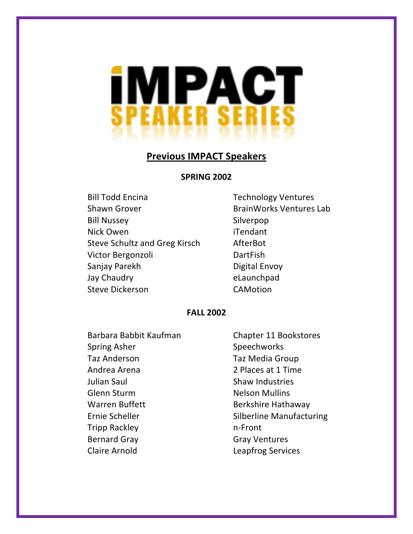

#### **SPRING)2002**

Bill Todd Encina **Technology Ventures** Shawn Grover **BrainWorks** Ventures Lab Bill Nussey Silverpop Nick Owen iTendant Steve Schultz and Greg Kirsch AfterBot Victor Bergonzoli DartFish Sanjay Parekh Digital Envoy Jay Chaudry **Elaunchpad** Steve Dickerson CAMotion

### **FALL)2002**

Barbara Babbit Kaufman Chapter 11 Bookstores Spring Asher Speechworks Taz Anderson Taz Media Group Andrea Arena 2. Places at 1 Time Julian Saul Shaw Industries Glenn Sturm Nelson Mullins Warren Buffett Berkshire Hathaway Tripp Rackley n-Front Bernard Gray Carrell Charles Gray Ventures Claire Arnold Leapfrog Services

Ernie Scheller Scheller Silberline Manufacturing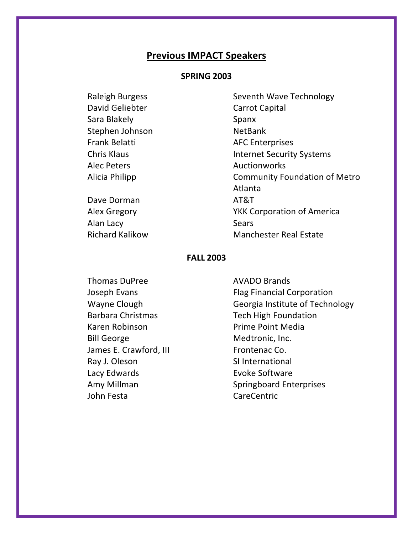### **SPRING)2003**

| Raleigh Burgess    |
|--------------------|
| David Geliebter    |
| Sara Blakely       |
| Stephen Johnson    |
| Frank Belatti      |
| <b>Chris Klaus</b> |
| <b>Alec Peters</b> |
| Alicia Philipp     |
|                    |

Dave Dorman AT&T Alan Lacy Sears

Seventh Wave Technology Carrot Capital Spanx NetBank **AFC Enterprises** Internet Security Systems **Auctionworks** Community Foundation of Metro Atlanta Alex Gregory **YKK Corporation of America** Richard Kalikow Manchester Real Estate

#### **FALL)2003**

Karen Robinson **Prime Point Media** Bill George Medtronic, Inc. James E. Crawford, III Frontenac Co. Ray J. Oleson SI International Lacy Edwards **Evoke Software** John Festa CareCentric

Thomas DuPree AVADO Brands Joseph Evans Flag Financial Corporation Wayne Clough Georgia Institute of Technology Barbara Christmas Tech High Foundation Amy Millman Springboard Enterprises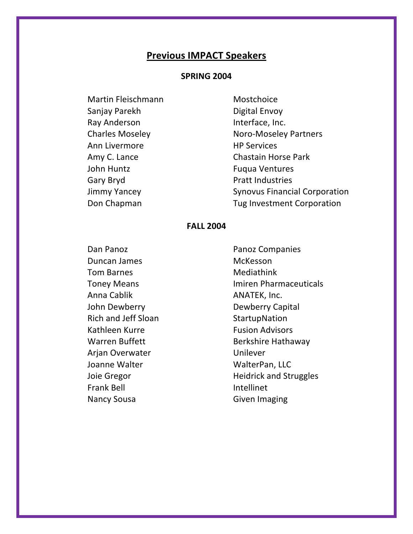### **SPRING 2004**

Martin Fleischmann Sanjay Parekh Ray Anderson **Charles Moseley** Ann Livermore Amy C. Lance John Huntz Gary Bryd **Jimmy Yancey** Don Chapman

Mostchoice Digital Envoy Interface, Inc. **Noro-Moseley Partners HP Services Chastain Horse Park Fugua Ventures Pratt Industries Synovus Financial Corporation** Tug Investment Corporation

#### **FALL 2004**

Dan Panoz Duncan James **Tom Barnes Toney Means** Anna Cablik John Dewberry **Rich and Jeff Sloan** Kathleen Kurre **Warren Buffett** Arjan Overwater Joanne Walter Joie Gregor **Frank Bell Nancy Sousa** 

Panoz Companies **McKesson** Mediathink **Imiren Pharmaceuticals** ANATEK, Inc. Dewberry Capital StartupNation **Fusion Advisors Berkshire Hathaway** Unilever WalterPan, LLC **Heidrick and Struggles** Intellinet **Given Imaging**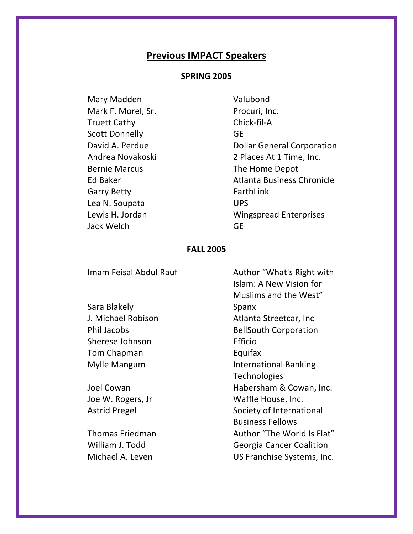### **SPRING 2005**

Mary Madden Mark F. Morel, Sr. **Truett Cathy Scott Donnelly** David A. Perdue Andrea Novakoski **Bernie Marcus Ed Baker Garry Betty** Lea N. Soupata Lewis H. Jordan Jack Welch

William J. Todd

Michael A. Leven

Valubond Procuri, Inc. Chick-fil-A **GE Dollar General Corporation** 2 Places At 1 Time, Inc. The Home Depot Atlanta Business Chronicle EarthLink **UPS Wingspread Enterprises GF** 

### **FALL 2005**

Imam Feisal Abdul Rauf Author "What's Right with Islam: A New Vision for Muslims and the West" Sara Blakely Spanx J. Michael Robison Atlanta Streetcar, Inc Phil Jacobs **BellSouth Corporation** Sherese Johnson Efficio Equifax Tom Chapman Mylle Mangum **International Banking Technologies** Joel Cowan Habersham & Cowan, Inc. Joe W. Rogers, Jr Waffle House, Inc. **Astrid Pregel** Society of International **Business Fellows Thomas Friedman** 

Author "The World Is Flat" **Georgia Cancer Coalition** US Franchise Systems, Inc.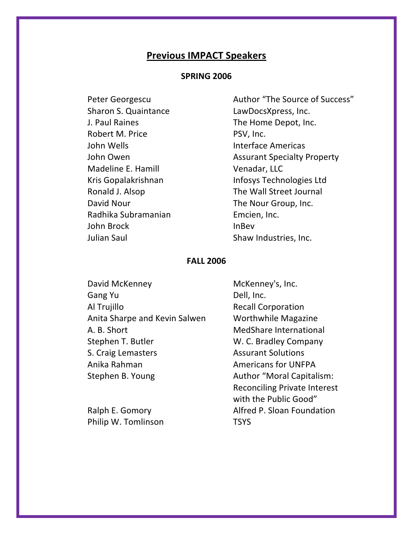### **SPRING 2006**

Peter Georgescu Sharon S. Quaintance J. Paul Raines Robert M. Price John Wells John Owen Madeline E. Hamill Kris Gopalakrishnan Ronald J. Alsop David Nour Radhika Subramanian John Brock **Julian Saul** 

Author "The Source of Success" LawDocsXpress, Inc. The Home Depot, Inc. PSV. Inc. Interface Americas **Assurant Specialty Property** Venadar, LLC Infosys Technologies Ltd The Wall Street Journal The Nour Group, Inc. Emcien, Inc. **InBev** Shaw Industries, Inc.

### **FALL 2006**

David McKenney Gang Yu Al Trujillo Anita Sharpe and Kevin Salwen A. B. Short Stephen T. Butler S. Craig Lemasters Anika Rahman Stephen B. Young

Ralph E. Gomory Philip W. Tomlinson

McKenney's, Inc. Dell, Inc. **Recall Corporation Worthwhile Magazine** MedShare International W. C. Bradley Company **Assurant Solutions Americans for UNFPA Author "Moral Capitalism: Reconciling Private Interest** with the Public Good" Alfred P. Sloan Foundation **TSYS**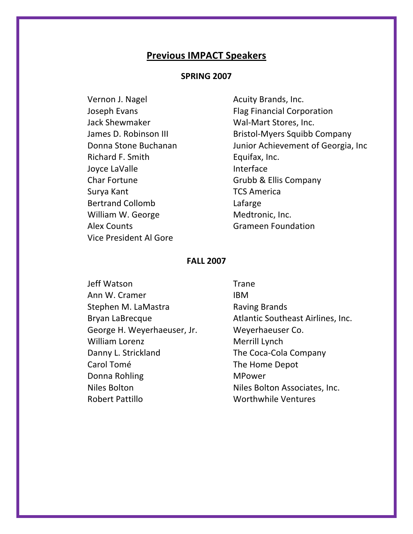### **SPRING)2007**

Vernon J. Nagel **Acuity Brands**, Inc. Jack Shewmaker Wal-Mart Stores, Inc. Richard F. Smith Equifax, Inc. Joyce LaValle **Interface** Char Fortune Grubb & Ellis Company Surya Kant TCS America Bertrand Collomb **Lafarge** William W. George Medtronic, Inc. Alex Counts Grameen Foundation Vice President Al Gore

Joseph Evans Flag Financial Corporation James D. Robinson III Bristol-Myers Squibb Company Donna Stone Buchanan Junior Achievement of Georgia, Inc

#### **FALL)2007**

Jeff!Watson Trane Ann W. Cramer **IBM** Stephen M. LaMastra **Raving Brands** George H. Weyerhaeuser, Jr. Weyerhaeuser Co. William Lorenz Merrill Lynch Danny L. Strickland The Coca-Cola Company Carol Tomé The Home Depot Donna Rohling MPower Niles Bolton Niles Bolton Associates, Inc. Robert Pattillo **Worthwhile Ventures** 

Bryan LaBrecque **Atlantic Southeast Airlines**, Inc.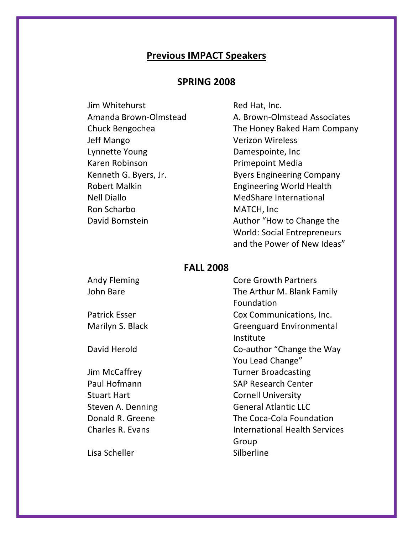## **SPRING)2008**

| Jim Whitehurst        |
|-----------------------|
| Amanda Brown-Olmstead |
| Chuck Bengochea       |
| Jeff Mango            |
| Lynnette Young        |
| Karen Robinson        |
| Kenneth G. Byers, Jr. |
| Robert Malkin         |
| Nell Diallo           |
| Ron Scharbo           |
| David Bornstein       |
|                       |

Red Hat, Inc. A. Brown-Olmstead Associates The Honey Baked Ham Company Verizon Wireless Damespointe, Inc. Primepoint Media Byers Engineering Company Engineering World Health MedShare International MATCH, Inc. Author "How to Change the World: Social Entrepreneurs and the Power of New Ideas"

### **FALL)2008**

Andy Fleming **Core Growth Partners** John Bare The Arthur M. Blank Family Patrick Esser Cox Communications, Inc. Marilyn S. Black Greenguard Environmental David Herold **Co-author** "Change the Way"

Stuart Hart Cornell University

Lisa Scheller National Silberline

Foundation Institute You Lead Change" Jim McCaffrey Turner Broadcasting Paul Hofmann SAP Research Center Steven A. Denning General Atlantic LLC Donald R. Greene The Coca-Cola Foundation Charles R. Evans **International Health Services** Group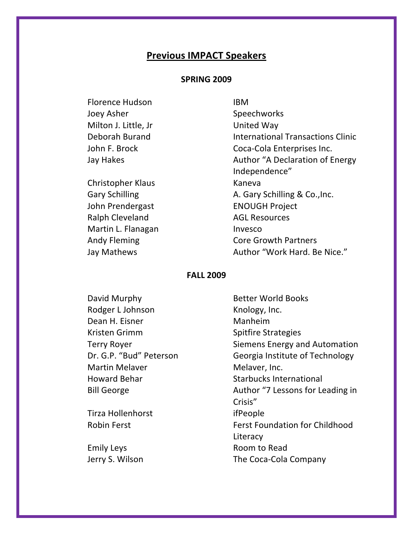#### **SPRING)2009**

Florence Hudson **IBM** Joey Asher Speechworks Milton J. Little, Jr United Way

Christopher Klaus Kaneva John Prendergast ENOUGH Project Ralph Cleveland AGL Resources Martin L. Flanagan **Invesco** 

Deborah Burand **International Transactions Clinic** John F. Brock Coca-Cola Enterprises Inc. Jay Hakes **Author** "A Declaration of Energy Independence" Gary Schilling **A. Gary Schilling & Co., Inc.** Andy Fleming **Core Growth Partners** Jay Mathews **Author** "Work Hard. Be Nice."

#### **FALL)2009**

David Murphy **Better World Books** Rodger L Johnson Knology, Inc. Dean H. Eisner Manheim Kristen Grimm Spitfire Strategies Martin Melaver Melaver, Inc.

Tirza Hollenhorst ifPeople

Terry Royer **Notation** Siemens Energy and Automation Dr. G.P. "Bud" Peterson Georgia Institute of Technology Howard Behar Starbucks International Bill George **Author** "7 Lessons for Leading in Crisis" Robin Ferst Ferst Foundation for Childhood Literacy Emily Leys **Room** to Read Jerry S. Wilson The Coca-Cola Company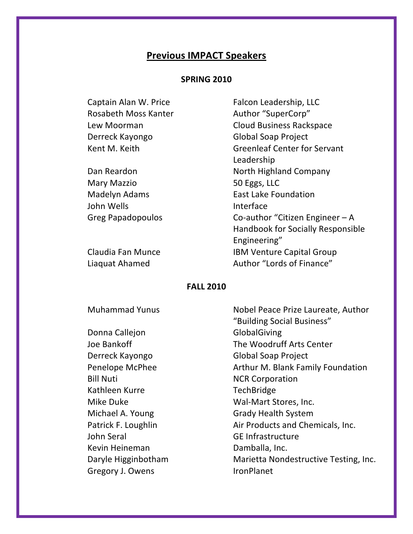#### **SPRING)2010**

Rosabeth Moss Kanter **Author** "SuperCorp" Derreck Kayongo Global Soap Project

Mary Mazzio 50 Eggs, LLC John Wells **Interface** 

Captain Alan W. Price Falcon Leadership, LLC Lew Moorman Cloud Business Rackspace Kent M. Keith Greenleaf Center for Servant Leadership Dan Reardon North Highland Company Madelyn Adams **East Lake Foundation** Greg Papadopoulos Co-author "Citizen Engineer – A Handbook for Socially Responsible Engineering" Claudia Fan Munce **IBM Venture Capital Group** Liaquat Ahamed **Author** "Lords of Finance"

#### **FALL)2010**

Donna Callejon GlobalGiving Derreck Kayongo Global Soap Project Bill Nuti NCR Corporation Kathleen Kurre TechBridge John Seral GE Infrastructure Kevin Heineman Damballa, Inc. Gregory J. Owens IronPlanet

Muhammad Yunus Nobel Peace Prize Laureate, Author "Building Social Business" Joe Bankoff The Woodruff Arts Center Penelope McPhee Arthur M. Blank Family Foundation Mike Duke Wal-Mart Stores, Inc. Michael A. Young Grady Health System Patrick F. Loughlin Air Products and Chemicals, Inc. Daryle Higginbotham Marietta Nondestructive Testing, Inc.